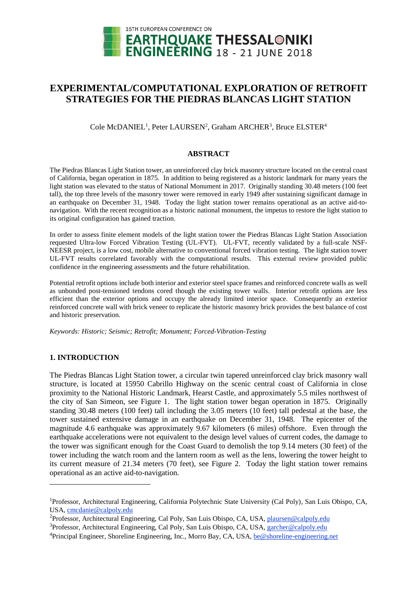

# **EXPERIMENTAL/COMPUTATIONAL EXPLORATION OF RETROFIT STRATEGIES FOR THE PIEDRAS BLANCAS LIGHT STATION**

Cole McDANIEL<sup>1</sup>, Peter LAURSEN<sup>2</sup>, Graham ARCHER<sup>3</sup>, Bruce ELSTER<sup>4</sup>

### **ABSTRACT**

The Piedras Blancas Light Station tower, an unreinforced clay brick masonry structure located on the central coast of California, began operation in 1875. In addition to being registered as a historic landmark for many years the light station was elevated to the status of National Monument in 2017. Originally standing 30.48 meters (100 feet tall), the top three levels of the masonry tower were removed in early 1949 after sustaining significant damage in an earthquake on December 31, 1948. Today the light station tower remains operational as an active aid-tonavigation. With the recent recognition as a historic national monument, the impetus to restore the light station to its original configuration has gained traction.

In order to assess finite element models of the light station tower the Piedras Blancas Light Station Association requested Ultra-low Forced Vibration Testing (UL-FVT). UL-FVT, recently validated by a full-scale NSF-NEESR project, is a low cost, mobile alternative to conventional forced vibration testing. The light station tower UL-FVT results correlated favorably with the computational results. This external review provided public confidence in the engineering assessments and the future rehabilitation.

Potential retrofit options include both interior and exterior steel space frames and reinforced concrete walls as well as unbonded post-tensioned tendons cored though the existing tower walls. Interior retrofit options are less efficient than the exterior options and occupy the already limited interior space. Consequently an exterior reinforced concrete wall with brick veneer to replicate the historic masonry brick provides the best balance of cost and historic preservation.

*Keywords: Historic; Seismic; Retrofit; Monument; Forced-Vibration-Testing*

### **1. INTRODUCTION**

l

The Piedras Blancas Light Station tower, a circular twin tapered unreinforced clay brick masonry wall structure, is located at 15950 Cabrillo Highway on the scenic central coast of California in close proximity to the National Historic Landmark, Hearst Castle, and approximately 5.5 miles northwest of the city of San Simeon, see Figure 1. The light station tower began operation in 1875. Originally standing 30.48 meters (100 feet) tall including the 3.05 meters (10 feet) tall pedestal at the base, the tower sustained extensive damage in an earthquake on December 31, 1948. The epicenter of the magnitude 4.6 earthquake was approximately 9.67 kilometers (6 miles) offshore. Even through the earthquake accelerations were not equivalent to the design level values of current codes, the damage to the tower was significant enough for the Coast Guard to demolish the top 9.14 meters (30 feet) of the tower including the watch room and the lantern room as well as the lens, lowering the tower height to its current measure of 21.34 meters (70 feet), see Figure 2. Today the light station tower remains operational as an active aid-to-navigation.

<sup>&</sup>lt;sup>1</sup>Professor, Architectural Engineering, California Polytechnic State University (Cal Poly), San Luis Obispo, CA, USA, cmcdanie@calpoly.edu

<sup>&</sup>lt;sup>2</sup>Professor, Architectural Engineering, Cal Poly, San Luis Obispo, CA, USA, plaursen@calpoly.edu

<sup>3</sup>Professor, Architectural Engineering, Cal Poly, San Luis Obispo, CA, USA, garcher@calpoly.edu

<sup>4</sup>Principal Engineer, Shoreline Engineering, Inc., Morro Bay, CA, USA, be@shoreline-engineering.net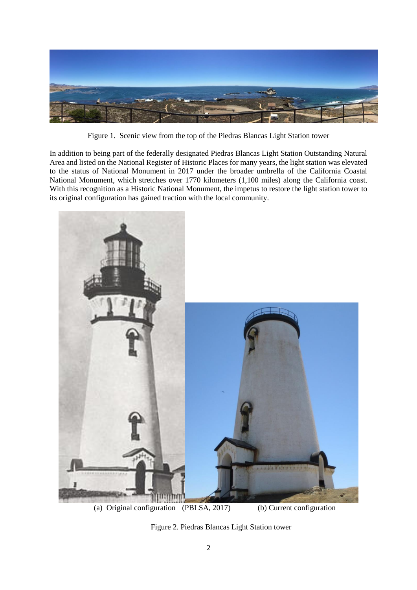

Figure 1. Scenic view from the top of the Piedras Blancas Light Station tower

In addition to being part of the federally designated Piedras Blancas Light Station Outstanding Natural Area and listed on the National Register of Historic Places for many years, the light station was elevated to the status of National Monument in 2017 under the broader umbrella of the California Coastal National Monument, which stretches over 1770 kilometers (1,100 miles) along the California coast. With this recognition as a Historic National Monument, the impetus to restore the light station tower to its original configuration has gained traction with the local community.



(a) Original configuration (PBLSA, 2017) (b) Current configuration

Figure 2. Piedras Blancas Light Station tower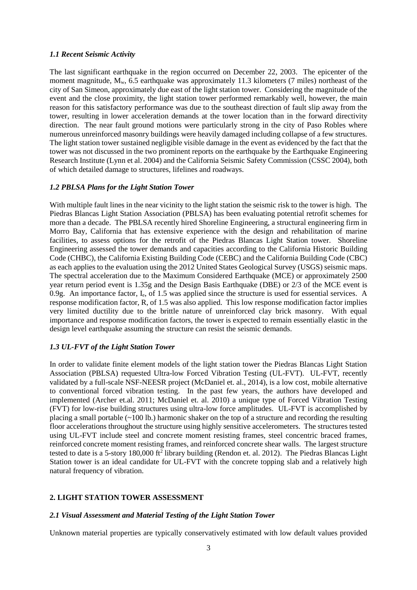### *1.1 Recent Seismic Activity*

The last significant earthquake in the region occurred on December 22, 2003. The epicenter of the moment magnitude,  $M_w$ , 6.5 earthquake was approximately 11.3 kilometers (7 miles) northeast of the city of San Simeon, approximately due east of the light station tower. Considering the magnitude of the event and the close proximity, the light station tower performed remarkably well, however, the main reason for this satisfactory performance was due to the southeast direction of fault slip away from the tower, resulting in lower acceleration demands at the tower location than in the forward directivity direction. The near fault ground motions were particularly strong in the city of Paso Robles where numerous unreinforced masonry buildings were heavily damaged including collapse of a few structures. The light station tower sustained negligible visible damage in the event as evidenced by the fact that the tower was not discussed in the two prominent reports on the earthquake by the Earthquake Engineering Research Institute (Lynn et al. 2004) and the California Seismic Safety Commission (CSSC 2004), both of which detailed damage to structures, lifelines and roadways.

### *1.2 PBLSA Plans for the Light Station Tower*

With multiple fault lines in the near vicinity to the light station the seismic risk to the tower is high. The Piedras Blancas Light Station Association (PBLSA) has been evaluating potential retrofit schemes for more than a decade. The PBLSA recently hired Shoreline Engineering, a structural engineering firm in Morro Bay, California that has extensive experience with the design and rehabilitation of marine facilities, to assess options for the retrofit of the Piedras Blancas Light Station tower. Shoreline Engineering assessed the tower demands and capacities according to the California Historic Building Code (CHBC), the California Existing Building Code (CEBC) and the California Building Code (CBC) as each applies to the evaluation using the 2012 United States Geological Survey (USGS) seismic maps. The spectral acceleration due to the Maximum Considered Earthquake (MCE) or approximately 2500 year return period event is 1.35g and the Design Basis Earthquake (DBE) or 2/3 of the MCE event is 0.9g. An importance factor, Ie, of 1.5 was applied since the structure is used for essential services. A response modification factor, R, of 1.5 was also applied. This low response modification factor implies very limited ductility due to the brittle nature of unreinforced clay brick masonry. With equal importance and response modification factors, the tower is expected to remain essentially elastic in the design level earthquake assuming the structure can resist the seismic demands.

#### *1.3 UL-FVT of the Light Station Tower*

In order to validate finite element models of the light station tower the Piedras Blancas Light Station Association (PBLSA) requested Ultra-low Forced Vibration Testing (UL-FVT). UL-FVT, recently validated by a full-scale NSF-NEESR project (McDaniel et. al., 2014), is a low cost, mobile alternative to conventional forced vibration testing. In the past few years, the authors have developed and implemented (Archer et.al. 2011; McDaniel et. al. 2010) a unique type of Forced Vibration Testing (FVT) for low-rise building structures using ultra-low force amplitudes. UL-FVT is accomplished by placing a small portable  $(-100 \text{ lb.})$  harmonic shaker on the top of a structure and recording the resulting floor accelerations throughout the structure using highly sensitive accelerometers. The structures tested using UL-FVT include steel and concrete moment resisting frames, steel concentric braced frames, reinforced concrete moment resisting frames, and reinforced concrete shear walls. The largest structure tested to date is a 5-story 180,000 ft<sup>2</sup> library building (Rendon et. al. 2012). The Piedras Blancas Light Station tower is an ideal candidate for UL-FVT with the concrete topping slab and a relatively high natural frequency of vibration.

### **2. LIGHT STATION TOWER ASSESSMENT**

#### *2.1 Visual Assessment and Material Testing of the Light Station Tower*

Unknown material properties are typically conservatively estimated with low default values provided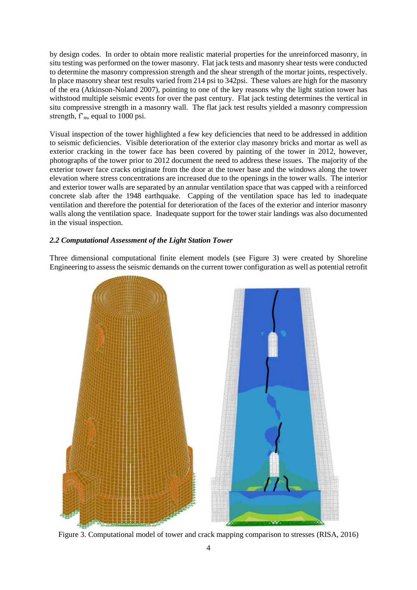by design codes. In order to obtain more realistic material properties for the unreinforced masonry, in situ testing was performed on the tower masonry. Flat jack tests and masonry shear tests were conducted to determine the masonry compression strength and the shear strength of the mortar joints, respectively. In place masonry shear test results varied from 214 psi to 342psi. These values are high for the masonry of the era (Atkinson-Noland 2007), pointing to one of the key reasons why the light station tower has withstood multiple seismic events for over the past century. Flat jack testing determines the vertical in situ compressive strength in a masonry wall. The flat jack test results yielded a masonry compression strength,  $f<sub>m</sub>$ , equal to 1000 psi.

Visual inspection of the tower highlighted a few key deficiencies that need to be addressed in addition to seismic deficiencies. Visible deterioration of the exterior clay masonry bricks and mortar as well as exterior cracking in the tower face has been covered by painting of the tower in 2012, however, photographs of the tower prior to 2012 document the need to address these issues. The majority of the exterior tower face cracks originate from the door at the tower base and the windows along the tower elevation where stress concentrations are increased due to the openings in the tower walls. The interior and exterior tower walls are separated by an annular ventilation space that was capped with a reinforced concrete slab after the 1948 earthquake. Capping of the ventilation space has led to inadequate ventilation and therefore the potential for deterioration of the faces of the exterior and interior masonry walls along the ventilation space. Inadequate support for the tower stair landings was also documented in the visual inspection.

## *2.2 Computational Assessment of the Light Station Tower*

Three dimensional computational finite element models (see Figure 3) were created by Shoreline Engineering to assess the seismic demands on the current tower configuration as well as potential retrofit



Figure 3. Computational model of tower and crack mapping comparison to stresses (RISA, 2016)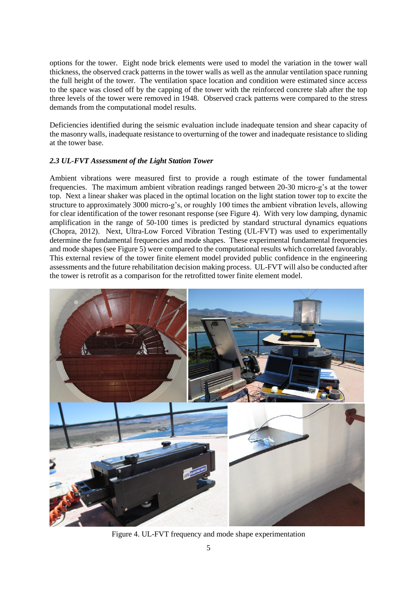options for the tower. Eight node brick elements were used to model the variation in the tower wall thickness, the observed crack patterns in the tower walls as well as the annular ventilation space running the full height of the tower. The ventilation space location and condition were estimated since access to the space was closed off by the capping of the tower with the reinforced concrete slab after the top three levels of the tower were removed in 1948. Observed crack patterns were compared to the stress demands from the computational model results.

Deficiencies identified during the seismic evaluation include inadequate tension and shear capacity of the masonry walls, inadequate resistance to overturning of the tower and inadequate resistance to sliding at the tower base.

# *2.3 UL-FVT Assessment of the Light Station Tower*

Ambient vibrations were measured first to provide a rough estimate of the tower fundamental frequencies. The maximum ambient vibration readings ranged between 20-30 micro-g's at the tower top. Next a linear shaker was placed in the optimal location on the light station tower top to excite the structure to approximately 3000 micro-g's, or roughly 100 times the ambient vibration levels, allowing for clear identification of the tower resonant response (see Figure 4). With very low damping, dynamic amplification in the range of 50-100 times is predicted by standard structural dynamics equations (Chopra, 2012). Next, Ultra-Low Forced Vibration Testing (UL-FVT) was used to experimentally determine the fundamental frequencies and mode shapes. These experimental fundamental frequencies and mode shapes (see Figure 5) were compared to the computational results which correlated favorably. This external review of the tower finite element model provided public confidence in the engineering assessments and the future rehabilitation decision making process. UL-FVT will also be conducted after the tower is retrofit as a comparison for the retrofitted tower finite element model.



Figure 4. UL-FVT frequency and mode shape experimentation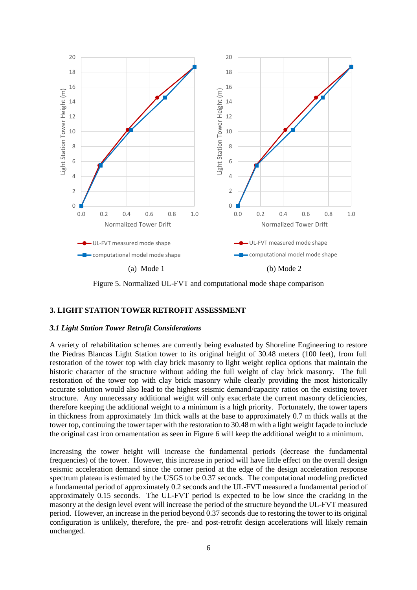

Figure 5. Normalized UL-FVT and computational mode shape comparison

# **3. LIGHT STATION TOWER RETROFIT ASSESSMENT**

### *3.1 Light Station Tower Retrofit Considerations*

A variety of rehabilitation schemes are currently being evaluated by Shoreline Engineering to restore the Piedras Blancas Light Station tower to its original height of 30.48 meters (100 feet), from full restoration of the tower top with clay brick masonry to light weight replica options that maintain the historic character of the structure without adding the full weight of clay brick masonry. The full restoration of the tower top with clay brick masonry while clearly providing the most historically accurate solution would also lead to the highest seismic demand/capacity ratios on the existing tower structure. Any unnecessary additional weight will only exacerbate the current masonry deficiencies, therefore keeping the additional weight to a minimum is a high priority. Fortunately, the tower tapers in thickness from approximately 1m thick walls at the base to approximately 0.7 m thick walls at the tower top, continuing the tower taper with the restoration to 30.48 m with a light weight façade to include the original cast iron ornamentation as seen in Figure 6 will keep the additional weight to a minimum.

Increasing the tower height will increase the fundamental periods (decrease the fundamental frequencies) of the tower. However, this increase in period will have little effect on the overall design seismic acceleration demand since the corner period at the edge of the design acceleration response spectrum plateau is estimated by the USGS to be 0.37 seconds. The computational modeling predicted a fundamental period of approximately 0.2 seconds and the UL-FVT measured a fundamental period of approximately 0.15 seconds. The UL-FVT period is expected to be low since the cracking in the masonry at the design level event will increase the period of the structure beyond the UL-FVT measured period. However, an increase in the period beyond 0.37 seconds due to restoring the tower to its original configuration is unlikely, therefore, the pre- and post-retrofit design accelerations will likely remain unchanged.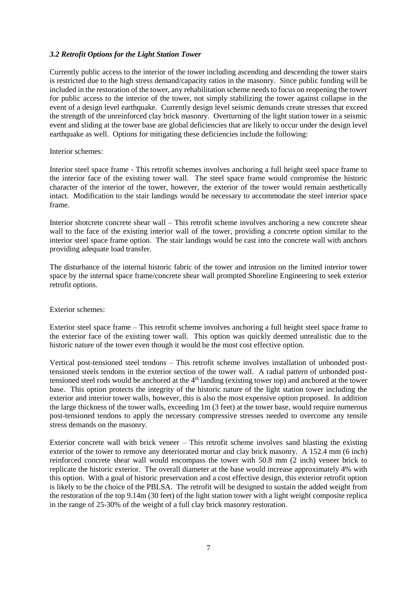### *3.2 Retrofit Options for the Light Station Tower*

Currently public access to the interior of the tower including ascending and descending the tower stairs is restricted due to the high stress demand/capacity ratios in the masonry. Since public funding will be included in the restoration of the tower, any rehabilitation scheme needs to focus on reopening the tower for public access to the interior of the tower, not simply stabilizing the tower against collapse in the event of a design level earthquake. Currently design level seismic demands create stresses that exceed the strength of the unreinforced clay brick masonry. Overturning of the light station tower in a seismic event and sliding at the tower base are global deficiencies that are likely to occur under the design level earthquake as well. Options for mitigating these deficiencies include the following:

#### Interior schemes:

Interior steel space frame - This retrofit schemes involves anchoring a full height steel space frame to the interior face of the existing tower wall. The steel space frame would compromise the historic character of the interior of the tower, however, the exterior of the tower would remain aesthetically intact. Modification to the stair landings would be necessary to accommodate the steel interior space frame.

Interior shotcrete concrete shear wall – This retrofit scheme involves anchoring a new concrete shear wall to the face of the existing interior wall of the tower, providing a concrete option similar to the interior steel space frame option. The stair landings would be cast into the concrete wall with anchors providing adequate load transfer.

The disturbance of the internal historic fabric of the tower and intrusion on the limited interior tower space by the internal space frame/concrete shear wall prompted Shoreline Engineering to seek exterior retrofit options.

#### Exterior schemes:

Exterior steel space frame – This retrofit scheme involves anchoring a full height steel space frame to the exterior face of the existing tower wall. This option was quickly deemed unrealistic due to the historic nature of the tower even though it would be the most cost effective option.

Vertical post-tensioned steel tendons – This retrofit scheme involves installation of unbonded posttensioned steels tendons in the exterior section of the tower wall. A radial pattern of unbonded posttensioned steel rods would be anchored at the 4th landing (existing tower top) and anchored at the tower base. This option protects the integrity of the historic nature of the light station tower including the exterior and interior tower walls, however, this is also the most expensive option proposed. In addition the large thickness of the tower walls, exceeding 1m (3 feet) at the tower base, would require numerous post-tensioned tendons to apply the necessary compressive stresses needed to overcome any tensile stress demands on the masonry.

Exterior concrete wall with brick veneer – This retrofit scheme involves sand blasting the existing exterior of the tower to remove any deteriorated mortar and clay brick masonry. A 152.4 mm (6 inch) reinforced concrete shear wall would encompass the tower with 50.8 mm (2 inch) veneer brick to replicate the historic exterior. The overall diameter at the base would increase approximately 4% with this option. With a goal of historic preservation and a cost effective design, this exterior retrofit option is likely to be the choice of the PBLSA. The retrofit will be designed to sustain the added weight from the restoration of the top 9.14m (30 feet) of the light station tower with a light weight composite replica in the range of 25-30% of the weight of a full clay brick masonry restoration.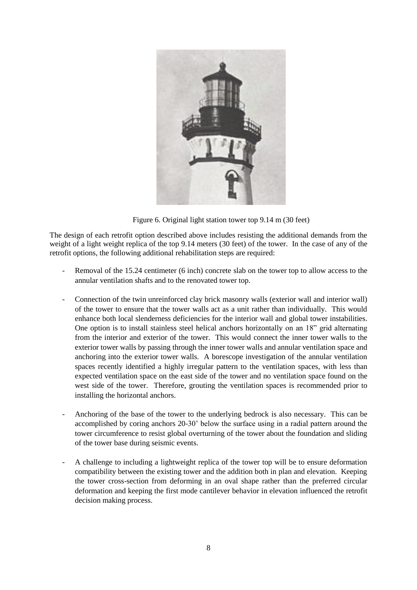

Figure 6. Original light station tower top 9.14 m (30 feet)

The design of each retrofit option described above includes resisting the additional demands from the weight of a light weight replica of the top 9.14 meters (30 feet) of the tower. In the case of any of the retrofit options, the following additional rehabilitation steps are required:

- Removal of the 15.24 centimeter (6 inch) concrete slab on the tower top to allow access to the annular ventilation shafts and to the renovated tower top.
- Connection of the twin unreinforced clay brick masonry walls (exterior wall and interior wall) of the tower to ensure that the tower walls act as a unit rather than individually. This would enhance both local slenderness deficiencies for the interior wall and global tower instabilities. One option is to install stainless steel helical anchors horizontally on an 18" grid alternating from the interior and exterior of the tower. This would connect the inner tower walls to the exterior tower walls by passing through the inner tower walls and annular ventilation space and anchoring into the exterior tower walls. A borescope investigation of the annular ventilation spaces recently identified a highly irregular pattern to the ventilation spaces, with less than expected ventilation space on the east side of the tower and no ventilation space found on the west side of the tower. Therefore, grouting the ventilation spaces is recommended prior to installing the horizontal anchors.
- Anchoring of the base of the tower to the underlying bedrock is also necessary. This can be accomplished by coring anchors 20-30' below the surface using in a radial pattern around the tower circumference to resist global overturning of the tower about the foundation and sliding of the tower base during seismic events.
- A challenge to including a lightweight replica of the tower top will be to ensure deformation compatibility between the existing tower and the addition both in plan and elevation. Keeping the tower cross-section from deforming in an oval shape rather than the preferred circular deformation and keeping the first mode cantilever behavior in elevation influenced the retrofit decision making process.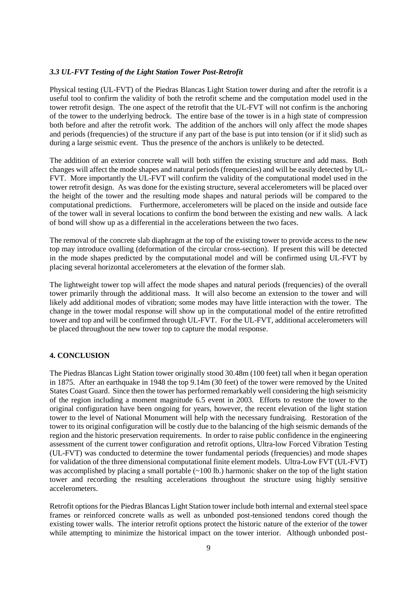### *3.3 UL-FVT Testing of the Light Station Tower Post-Retrofit*

Physical testing (UL-FVT) of the Piedras Blancas Light Station tower during and after the retrofit is a useful tool to confirm the validity of both the retrofit scheme and the computation model used in the tower retrofit design. The one aspect of the retrofit that the UL-FVT will not confirm is the anchoring of the tower to the underlying bedrock. The entire base of the tower is in a high state of compression both before and after the retrofit work. The addition of the anchors will only affect the mode shapes and periods (frequencies) of the structure if any part of the base is put into tension (or if it slid) such as during a large seismic event. Thus the presence of the anchors is unlikely to be detected.

The addition of an exterior concrete wall will both stiffen the existing structure and add mass. Both changes will affect the mode shapes and natural periods (frequencies) and will be easily detected by UL-FVT. More importantly the UL-FVT will confirm the validity of the computational model used in the tower retrofit design. As was done for the existing structure, several accelerometers will be placed over the height of the tower and the resulting mode shapes and natural periods will be compared to the computational predictions. Furthermore, accelerometers will be placed on the inside and outside face of the tower wall in several locations to confirm the bond between the existing and new walls. A lack of bond will show up as a differential in the accelerations between the two faces.

The removal of the concrete slab diaphragm at the top of the existing tower to provide access to the new top may introduce ovalling (deformation of the circular cross-section). If present this will be detected in the mode shapes predicted by the computational model and will be confirmed using UL-FVT by placing several horizontal accelerometers at the elevation of the former slab.

The lightweight tower top will affect the mode shapes and natural periods (frequencies) of the overall tower primarily through the additional mass. It will also become an extension to the tower and will likely add additional modes of vibration; some modes may have little interaction with the tower. The change in the tower modal response will show up in the computational model of the entire retrofitted tower and top and will be confirmed through UL-FVT. For the UL-FVT, additional accelerometers will be placed throughout the new tower top to capture the modal response.

# **4. CONCLUSION**

The Piedras Blancas Light Station tower originally stood 30.48m (100 feet) tall when it began operation in 1875. After an earthquake in 1948 the top 9.14m (30 feet) of the tower were removed by the United States Coast Guard. Since then the tower has performed remarkably well considering the high seismicity of the region including a moment magnitude 6.5 event in 2003. Efforts to restore the tower to the original configuration have been ongoing for years, however, the recent elevation of the light station tower to the level of National Monument will help with the necessary fundraising. Restoration of the tower to its original configuration will be costly due to the balancing of the high seismic demands of the region and the historic preservation requirements. In order to raise public confidence in the engineering assessment of the current tower configuration and retrofit options, Ultra-low Forced Vibration Testing (UL-FVT) was conducted to determine the tower fundamental periods (frequencies) and mode shapes for validation of the three dimensional computational finite element models. Ultra-Low FVT (UL-FVT) was accomplished by placing a small portable (~100 lb.) harmonic shaker on the top of the light station tower and recording the resulting accelerations throughout the structure using highly sensitive accelerometers.

Retrofit options for the Piedras Blancas Light Station tower include both internal and external steel space frames or reinforced concrete walls as well as unbonded post-tensioned tendons cored though the existing tower walls. The interior retrofit options protect the historic nature of the exterior of the tower while attempting to minimize the historical impact on the tower interior. Although unbonded post